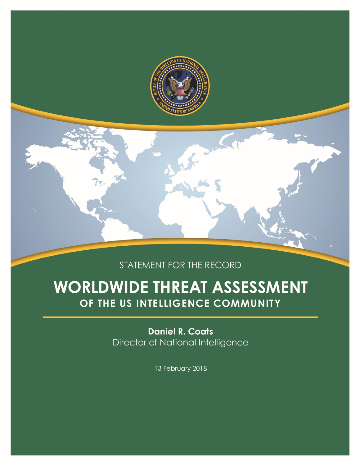

# STATEMENT FOR THE RECORD

# **WORLDWIDE THREAT ASSESSMENT** OF THE US INTELLIGENCE COMMUNITY

**Daniel R. Coats** Director of National Intelligence

13 February 2018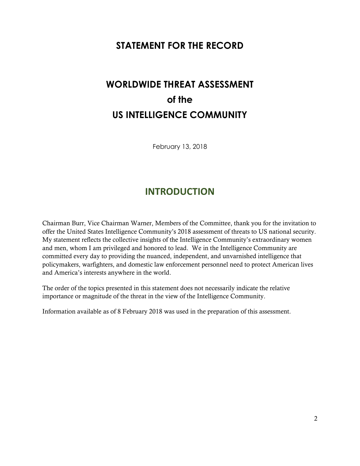# **STATEMENT FOR THE RECORD**

# **WORLDWIDE THREAT ASSESSMENT of the US INTELLIGENCE COMMUNITY**

February 13, 2018

# **INTRODUCTION**

<span id="page-1-0"></span>Chairman Burr, Vice Chairman Warner, Members of the Committee, thank you for the invitation to offer the United States Intelligence Community's 2018 assessment of threats to US national security. My statement reflects the collective insights of the Intelligence Community's extraordinary women and men, whom I am privileged and honored to lead. We in the Intelligence Community are committed every day to providing the nuanced, independent, and unvarnished intelligence that policymakers, warfighters, and domestic law enforcement personnel need to protect American lives and America's interests anywhere in the world.

The order of the topics presented in this statement does not necessarily indicate the relative importance or magnitude of the threat in the view of the Intelligence Community.

Information available as of 8 February 2018 was used in the preparation of this assessment.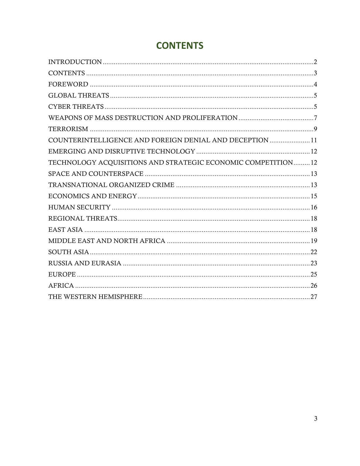| COUNTERINTELLIGENCE AND FOREIGN DENIAL AND DECEPTION  11     |  |
|--------------------------------------------------------------|--|
|                                                              |  |
| TECHNOLOGY ACQUISITIONS AND STRATEGIC ECONOMIC COMPETITION12 |  |
|                                                              |  |
|                                                              |  |
|                                                              |  |
|                                                              |  |

# <span id="page-2-0"></span>**CONTENTS**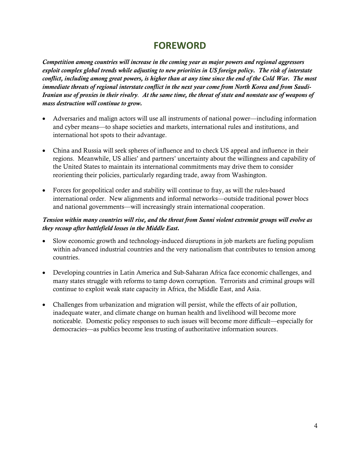# **FOREWORD**

<span id="page-3-0"></span>*Competition among countries will increase in the coming year as major powers and regional aggressors exploit complex global trends while adjusting to new priorities in US foreign policy. The risk of interstate conflict, including among great powers, is higher than at any time since the end of the Cold War. The most immediate threats of regional interstate conflict in the next year come from North Korea and from Saudi-Iranian use of proxies in their rivalry. At the same time, the threat of state and nonstate use of weapons of mass destruction will continue to grow.*

- Adversaries and malign actors will use all instruments of national power—including information and cyber means—to shape societies and markets, international rules and institutions, and international hot spots to their advantage.
- China and Russia will seek spheres of influence and to check US appeal and influence in their regions. Meanwhile, US allies' and partners' uncertainty about the willingness and capability of the United States to maintain its international commitments may drive them to consider reorienting their policies, particularly regarding trade, away from Washington.
- Forces for geopolitical order and stability will continue to fray, as will the rules-based international order. New alignments and informal networks—outside traditional power blocs and national governments—will increasingly strain international cooperation.

### *Tension within many countries will rise, and the threat from Sunni violent extremist groups will evolve as they recoup after battlefield losses in the Middle East.*

- Slow economic growth and technology-induced disruptions in job markets are fueling populism within advanced industrial countries and the very nationalism that contributes to tension among countries.
- Developing countries in Latin America and Sub-Saharan Africa face economic challenges, and many states struggle with reforms to tamp down corruption. Terrorists and criminal groups will continue to exploit weak state capacity in Africa, the Middle East, and Asia.
- Challenges from urbanization and migration will persist, while the effects of air pollution, inadequate water, and climate change on human health and livelihood will become more noticeable. Domestic policy responses to such issues will become more difficult—especially for democracies—as publics become less trusting of authoritative information sources.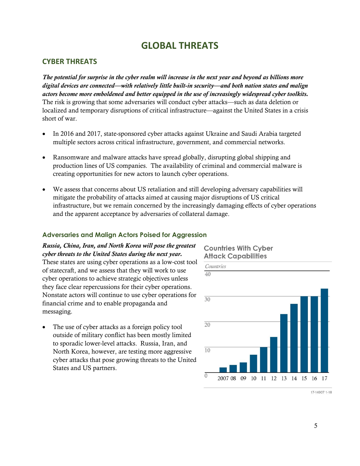# **GLOBAL THREATS**

#### <span id="page-4-1"></span><span id="page-4-0"></span>**CYBER THREATS**

*The potential for surprise in the cyber realm will increase in the next year and beyond as billions more digital devices are connected—with relatively little built-in security—and both nation states and malign actors become more emboldened and better equipped in the use of increasingly widespread cyber toolkits.* The risk is growing that some adversaries will conduct cyber attacks—such as data deletion or localized and temporary disruptions of critical infrastructure—against the United States in a crisis short of war.

- In 2016 and 2017, state-sponsored cyber attacks against Ukraine and Saudi Arabia targeted multiple sectors across critical infrastructure, government, and commercial networks.
- Ransomware and malware attacks have spread globally, disrupting global shipping and production lines of US companies. The availability of criminal and commercial malware is creating opportunities for new actors to launch cyber operations.
- We assess that concerns about US retaliation and still developing adversary capabilities will mitigate the probability of attacks aimed at causing major disruptions of US critical infrastructure, but we remain concerned by the increasingly damaging effects of cyber operations and the apparent acceptance by adversaries of collateral damage.

#### **Adversaries and Malign Actors Poised for Aggression**

#### *Russia, China, Iran, and North Korea will pose the greatest cyber threats to the United States during the next year.* These states are using cyber operations as a low-cost tool of statecraft, and we assess that they will work to use

cyber operations to achieve strategic objectives unless they face clear repercussions for their cyber operations. Nonstate actors will continue to use cyber operations for financial crime and to enable propaganda and messaging.

 The use of cyber attacks as a foreign policy tool outside of military conflict has been mostly limited to sporadic lower-level attacks. Russia, Iran, and North Korea, however, are testing more aggressive cyber attacks that pose growing threats to the United States and US partners.

#### **Countries With Cyber Attack Capabilities**



17-14907 1-18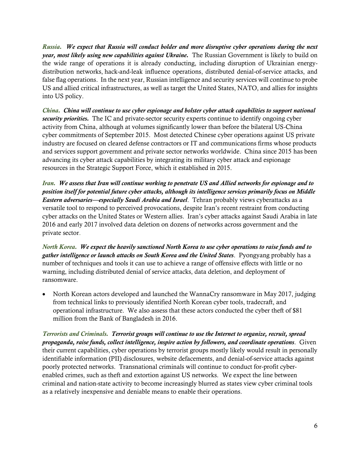*Russia. We expect that Russia will conduct bolder and more disruptive cyber operations during the next year, most likely using new capabilities against Ukraine.* The Russian Government is likely to build on the wide range of operations it is already conducting, including disruption of Ukrainian energydistribution networks, hack-and-leak influence operations, distributed denial-of-service attacks, and false flag operations. In the next year, Russian intelligence and security services will continue to probe US and allied critical infrastructures, as well as target the United States, NATO, and allies for insights into US policy.

*China. China will continue to use cyber espionage and bolster cyber attack capabilities to support national security priorities.* The IC and private-sector security experts continue to identify ongoing cyber activity from China, although at volumes significantly lower than before the bilateral US-China cyber commitments of September 2015. Most detected Chinese cyber operations against US private industry are focused on cleared defense contractors or IT and communications firms whose products and services support government and private sector networks worldwide. China since 2015 has been advancing its cyber attack capabilities by integrating its military cyber attack and espionage resources in the Strategic Support Force, which it established in 2015.

*Iran. We assess that Iran will continue working to penetrate US and Allied networks for espionage and to position itself for potential future cyber attacks, although its intelligence services primarily focus on Middle Eastern adversaries—especially Saudi Arabia and Israel*. Tehran probably views cyberattacks as a versatile tool to respond to perceived provocations, despite Iran's recent restraint from conducting cyber attacks on the United States or Western allies.Iran's cyber attacks against Saudi Arabia in late 2016 and early 2017 involved data deletion on dozens of networks across government and the private sector.

*North Korea. We expect the heavily sanctioned North Korea to use cyber operations to raise funds and to gather intelligence or launch attacks on South Korea and the United States*. Pyongyang probably has a number of techniques and tools it can use to achieve a range of offensive effects with little or no warning, including distributed denial of service attacks, data deletion, and deployment of ransomware.

 North Korean actors developed and launched the WannaCry ransomware in May 2017, judging from technical links to previously identified North Korean cyber tools, tradecraft, and operational infrastructure. We also assess that these actors conducted the cyber theft of \$81 million from the Bank of Bangladesh in 2016.

*Terrorists and Criminals. Terrorist groups will continue to use the Internet to organize, recruit, spread propaganda, raise funds, collect intelligence, inspire action by followers, and coordinate operations*. Given their current capabilities, cyber operations by terrorist groups mostly likely would result in personally identifiable information (PII) disclosures, website defacements, and denial-of-service attacks against poorly protected networks. Transnational criminals will continue to conduct for-profit cyberenabled crimes, such as theft and extortion against US networks. We expect the line between criminal and nation-state activity to become increasingly blurred as states view cyber criminal tools as a relatively inexpensive and deniable means to enable their operations.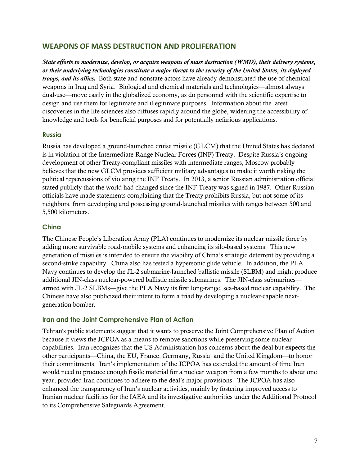### <span id="page-6-0"></span>**WEAPONS OF MASS DESTRUCTION AND PROLIFERATION**

*State efforts to modernize, develop, or acquire weapons of mass destruction (WMD), their delivery systems, or their underlying technologies constitute a major threat to the security of the United States, its deployed troops, and its allies.* Both state and nonstate actors have already demonstrated the use of chemical weapons in Iraq and Syria.Biological and chemical materials and technologies—almost always dual-use—move easily in the globalized economy, as do personnel with the scientific expertise to design and use them for legitimate and illegitimate purposes. Information about the latest discoveries in the life sciences also diffuses rapidly around the globe, widening the accessibility of knowledge and tools for beneficial purposes and for potentially nefarious applications.

#### **Russia**

Russia has developed a ground-launched cruise missile (GLCM) that the United States has declared is in violation of the Intermediate-Range Nuclear Forces (INF) Treaty. Despite Russia's ongoing development of other Treaty-compliant missiles with intermediate ranges, Moscow probably believes that the new GLCM provides sufficient military advantages to make it worth risking the political repercussions of violating the INF Treaty. In 2013, a senior Russian administration official stated publicly that the world had changed since the INF Treaty was signed in 1987. Other Russian officials have made statements complaining that the Treaty prohibits Russia, but not some of its neighbors, from developing and possessing ground-launched missiles with ranges between 500 and 5,500 kilometers.

### **China**

The Chinese People's Liberation Army (PLA) continues to modernize its nuclear missile force by adding more survivable road-mobile systems and enhancing its silo-based systems. This new generation of missiles is intended to ensure the viability of China's strategic deterrent by providing a second-strike capability. China also has tested a hypersonic glide vehicle. In addition, the PLA Navy continues to develop the JL-2 submarine-launched ballistic missile (SLBM) and might produce additional JIN-class nuclear-powered ballistic missile submarines. The JIN-class submarines armed with JL-2 SLBMs—give the PLA Navy its first long-range, sea-based nuclear capability. The Chinese have also publicized their intent to form a triad by developing a nuclear-capable nextgeneration bomber.

### **Iran and the Joint Comprehensive Plan of Action**

Tehran's public statements suggest that it wants to preserve the Joint Comprehensive Plan of Action because it views the JCPOA as a means to remove sanctions while preserving some nuclear capabilities. Iran recognizes that the US Administration has concerns about the deal but expects the other participants—China, the EU, France, Germany, Russia, and the United Kingdom—to honor their commitments. Iran's implementation of the JCPOA has extended the amount of time Iran would need to produce enough fissile material for a nuclear weapon from a few months to about one year, provided Iran continues to adhere to the deal's major provisions. The JCPOA has also enhanced the transparency of Iran's nuclear activities, mainly by fostering improved access to Iranian nuclear facilities for the IAEA and its investigative authorities under the Additional Protocol to its Comprehensive Safeguards Agreement.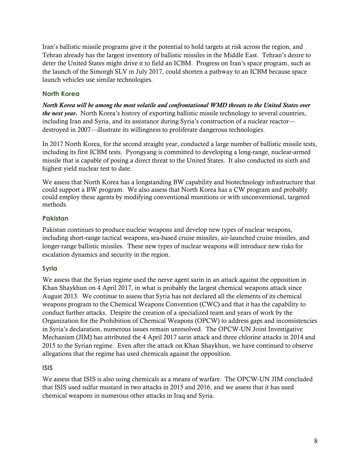Iran's ballistic missile programs give it the potential to hold targets at risk across the region, and Tehran already has the largest inventory of ballistic missiles in the Middle East. Tehran's desire to deter the United States might drive it to field an ICBM. Progress on Iran's space program, such as the launch of the Simorgh SLV in July 2017, could shorten a pathway to an ICBM because space launch vehicles use similar technologies.

### **North Korea**

*North Korea will be among the most volatile and confrontational WMD threats to the United States over the next year.* North Korea's history of exporting ballistic missile technology to several countries, including Iran and Syria, and its assistance during Syria's construction of a nuclear reactor destroyed in 2007—illustrate its willingness to proliferate dangerous technologies.

In 2017 North Korea, for the second straight year, conducted a large number of ballistic missile tests, including its first ICBM tests. Pyongyang is committed to developing a long-range, nuclear-armed missile that is capable of posing a direct threat to the United States. It also conducted its sixth and highest yield nuclear test to date.

We assess that North Korea has a longstanding BW capability and biotechnology infrastructure that could support a BW program. We also assess that North Korea has a CW program and probably could employ these agents by modifying conventional munitions or with unconventional, targeted methods.

# **Pakistan**

Pakistan continues to produce nuclear weapons and develop new types of nuclear weapons, including short-range tactical weapons, sea-based cruise missiles, air-launched cruise missiles, and longer-range ballistic missiles. These new types of nuclear weapons will introduce new risks for escalation dynamics and security in the region.

# **Syria**

We assess that the Syrian regime used the nerve agent sarin in an attack against the opposition in Khan Shaykhun on 4 April 2017, in what is probably the largest chemical weapons attack since August 2013. We continue to assess that Syria has not declared all the elements of its chemical weapons program to the Chemical Weapons Convention (CWC) and that it has the capability to conduct further attacks. Despite the creation of a specialized team and years of work by the Organization for the Prohibition of Chemical Weapons (OPCW) to address gaps and inconsistencies in Syria's declaration, numerous issues remain unresolved. The OPCW-UN Joint Investigative Mechanism (JIM) has attributed the 4 April 2017 sarin attack and three chlorine attacks in 2014 and 2015 to the Syrian regime. Even after the attack on Khan Shaykhun, we have continued to observe allegations that the regime has used chemicals against the opposition.

### **ISIS**

We assess that ISIS is also using chemicals as a means of warfare. The OPCW-UN JIM concluded that ISIS used sulfur mustard in two attacks in 2015 and 2016, and we assess that it has used chemical weapons in numerous other attacks in Iraq and Syria.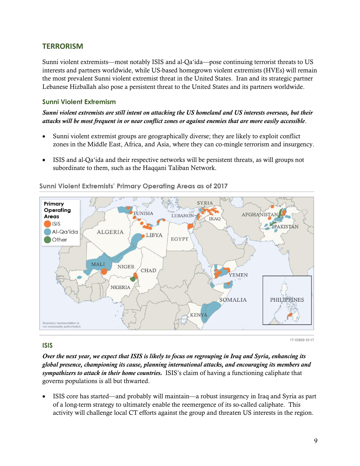# <span id="page-8-0"></span>**TERRORISM**

Sunni violent extremists—most notably ISIS and al-Qa'ida—pose continuing terrorist threats to US interests and partners worldwide, while US-based homegrown violent extremists (HVEs) will remain the most prevalent Sunni violent extremist threat in the United States. Iran and its strategic partner Lebanese Hizballah also pose a persistent threat to the United States and its partners worldwide.

#### **Sunni Violent Extremism**

*Sunni violent extremists are still intent on attacking the US homeland and US interests overseas, but their attacks will be most frequent in or near conflict zones or against enemies that are more easily accessible*.

- Sunni violent extremist groups are geographically diverse; they are likely to exploit conflict zones in the Middle East, Africa, and Asia, where they can co-mingle terrorism and insurgency.
- ISIS and al-Qa'ida and their respective networks will be persistent threats, as will groups not subordinate to them, such as the Haqqani Taliban Network.



#### Sunni Violent Extremists' Primary Operating Areas as of 2017

### **ISIS**

*Over the next year, we expect that ISIS is likely to focus on regrouping in Iraq and Syria, enhancing its global presence, championing its cause, planning international attacks, and encouraging its members and sympathizers to attack in their home countries.* ISIS's claim of having a functioning caliphate that governs populations is all but thwarted.

 ISIS core has started—and probably will maintain—a robust insurgency in Iraq and Syria as part of a long-term strategy to ultimately enable the reemergence of its so-called caliphate. This activity will challenge local CT efforts against the group and threaten US interests in the region.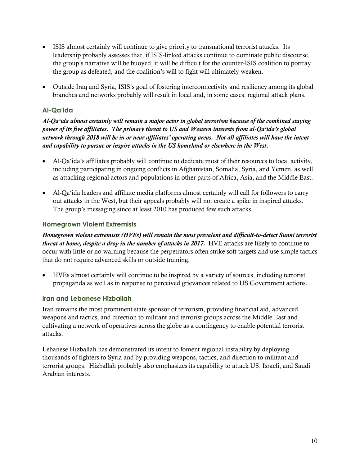- ISIS almost certainly will continue to give priority to transnational terrorist attacks. Its leadership probably assesses that, if ISIS-linked attacks continue to dominate public discourse, the group's narrative will be buoyed, it will be difficult for the counter-ISIS coalition to portray the group as defeated, and the coalition's will to fight will ultimately weaken.
- Outside Iraq and Syria, ISIS's goal of fostering interconnectivity and resiliency among its global branches and networks probably will result in local and, in some cases, regional attack plans.

# **Al-Qa'ida**

*Al-Qa'ida almost certainly will remain a major actor in global terrorism because of the combined staying power of its five affiliates. The primary threat to US and Western interests from al-Qa'ida's global network through 2018 will be in or near affiliates' operating areas. Not all affiliates will have the intent and capability to pursue or inspire attacks in the US homeland or elsewhere in the West.*

- Al-Qa'ida's affiliates probably will continue to dedicate most of their resources to local activity, including participating in ongoing conflicts in Afghanistan, Somalia, Syria, and Yemen, as well as attacking regional actors and populations in other parts of Africa, Asia, and the Middle East.
- Al-Qa'ida leaders and affiliate media platforms almost certainly will call for followers to carry out attacks in the West, but their appeals probably will not create a spike in inspired attacks. The group's messaging since at least 2010 has produced few such attacks.

### **Homegrown Violent Extremists**

*Homegrown violent extremists (HVEs) will remain the most prevalent and difficult-to-detect Sunni terrorist threat at home, despite a drop in the number of attacks in 2017.* HVE attacks are likely to continue to occur with little or no warning because the perpetrators often strike soft targets and use simple tactics that do not require advanced skills or outside training.

 HVEs almost certainly will continue to be inspired by a variety of sources, including terrorist propaganda as well as in response to perceived grievances related to US Government actions.

#### **Iran and Lebanese Hizballah**

Iran remains the most prominent state sponsor of terrorism, providing financial aid, advanced weapons and tactics, and direction to militant and terrorist groups across the Middle East and cultivating a network of operatives across the globe as a contingency to enable potential terrorist attacks.

Lebanese Hizballah has demonstrated its intent to foment regional instability by deploying thousands of fighters to Syria and by providing weapons, tactics, and direction to militant and terrorist groups. Hizballah probably also emphasizes its capability to attack US, Israeli, and Saudi Arabian interests.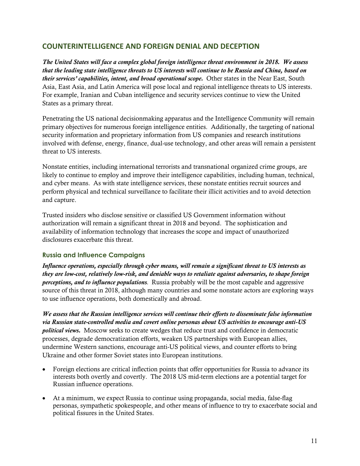# <span id="page-10-0"></span>**COUNTERINTELLIGENCE AND FOREIGN DENIAL AND DECEPTION**

*The United States will face a complex global foreign intelligence threat environment in 2018. We assess that the leading state intelligence threats to US interests will continue to be Russia and China, based on their services' capabilities, intent, and broad operational scope.* Other states in the Near East, South Asia, East Asia, and Latin America will pose local and regional intelligence threats to US interests. For example, Iranian and Cuban intelligence and security services continue to view the United States as a primary threat.

Penetrating the US national decisionmaking apparatus and the Intelligence Community will remain primary objectives for numerous foreign intelligence entities. Additionally, the targeting of national security information and proprietary information from US companies and research institutions involved with defense, energy, finance, dual-use technology, and other areas will remain a persistent threat to US interests.

Nonstate entities, including international terrorists and transnational organized crime groups, are likely to continue to employ and improve their intelligence capabilities, including human, technical, and cyber means. As with state intelligence services, these nonstate entities recruit sources and perform physical and technical surveillance to facilitate their illicit activities and to avoid detection and capture.

Trusted insiders who disclose sensitive or classified US Government information without authorization will remain a significant threat in 2018 and beyond. The sophistication and availability of information technology that increases the scope and impact of unauthorized disclosures exacerbate this threat.

#### **Russia and Influence Campaigns**

*Influence operations, especially through cyber means, will remain a significant threat to US interests as they are low-cost, relatively low-risk, and deniable ways to retaliate against adversaries, to shape foreign perceptions, and to influence populations.* Russia probably will be the most capable and aggressive source of this threat in 2018, although many countries and some nonstate actors are exploring ways to use influence operations, both domestically and abroad.

*We assess that the Russian intelligence services will continue their efforts to disseminate false information via Russian state-controlled media and covert online personas about US activities to encourage anti-US political views.* Moscow seeks to create wedges that reduce trust and confidence in democratic processes, degrade democratization efforts, weaken US partnerships with European allies, undermine Western sanctions, encourage anti-US political views, and counter efforts to bring Ukraine and other former Soviet states into European institutions.

- Foreign elections are critical inflection points that offer opportunities for Russia to advance its interests both overtly and covertly. The 2018 US mid-term elections are a potential target for Russian influence operations.
- At a minimum, we expect Russia to continue using propaganda, social media, false-flag personas, sympathetic spokespeople, and other means of influence to try to exacerbate social and political fissures in the United States.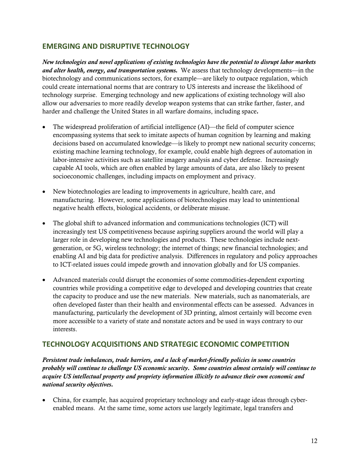# <span id="page-11-0"></span>**EMERGING AND DISRUPTIVE TECHNOLOGY**

*New technologies and novel applications of existing technologies have the potential to disrupt labor markets and alter health, energy, and transportation systems.* We assess that technology developments—in the biotechnology and communications sectors, for example—are likely to outpace regulation, which could create international norms that are contrary to US interests and increase the likelihood of technology surprise. Emerging technology and new applications of existing technology will also allow our adversaries to more readily develop weapon systems that can strike farther, faster, and harder and challenge the United States in all warfare domains, including space*.*

- The widespread proliferation of artificial intelligence (AI)—the field of computer science encompassing systems that seek to imitate aspects of human cognition by learning and making decisions based on accumulated knowledge—is likely to prompt new national security concerns; existing machine learning technology, for example, could enable high degrees of automation in labor-intensive activities such as satellite imagery analysis and cyber defense. Increasingly capable AI tools, which are often enabled by large amounts of data, are also likely to present socioeconomic challenges, including impacts on employment and privacy.
- New biotechnologies are leading to improvements in agriculture, health care, and manufacturing. However, some applications of biotechnologies may lead to unintentional negative health effects, biological accidents, or deliberate misuse.
- The global shift to advanced information and communications technologies (ICT) will increasingly test US competitiveness because aspiring suppliers around the world will play a larger role in developing new technologies and products. These technologies include nextgeneration, or 5G, wireless technology; the internet of things; new financial technologies; and enabling AI and big data for predictive analysis. Differences in regulatory and policy approaches to ICT-related issues could impede growth and innovation globally and for US companies.
- Advanced materials could disrupt the economies of some commodities-dependent exporting countries while providing a competitive edge to developed and developing countries that create the capacity to produce and use the new materials. New materials, such as nanomaterials, are often developed faster than their health and environmental effects can be assessed. Advances in manufacturing, particularly the development of 3D printing, almost certainly will become even more accessible to a variety of state and nonstate actors and be used in ways contrary to our interests.

# <span id="page-11-1"></span>**TECHNOLOGY ACQUISITIONS AND STRATEGIC ECONOMIC COMPETITION**

*Persistent trade imbalances, trade barriers, and a lack of market-friendly policies in some countries probably will continue to challenge US economic security. Some countries almost certainly will continue to acquire US intellectual property and propriety information illicitly to advance their own economic and national security objectives.*

 China, for example, has acquired proprietary technology and early-stage ideas through cyberenabled means. At the same time, some actors use largely legitimate, legal transfers and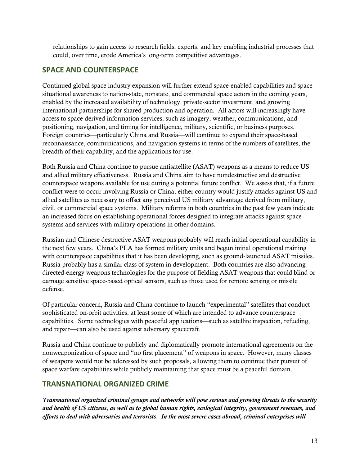relationships to gain access to research fields, experts, and key enabling industrial processes that could, over time, erode America's long-term competitive advantages.

# <span id="page-12-0"></span>**SPACE AND COUNTERSPACE**

Continued global space industry expansion will further extend space-enabled capabilities and space situational awareness to nation-state, nonstate, and commercial space actors in the coming years, enabled by the increased availability of technology, private-sector investment, and growing international partnerships for shared production and operation. All actors will increasingly have access to space-derived information services, such as imagery, weather, communications, and positioning, navigation, and timing for intelligence, military, scientific, or business purposes. Foreign countries—particularly China and Russia—will continue to expand their space-based reconnaissance, communications, and navigation systems in terms of the numbers of satellites, the breadth of their capability, and the applications for use.

Both Russia and China continue to pursue antisatellite (ASAT) weapons as a means to reduce US and allied military effectiveness. Russia and China aim to have nondestructive and destructive counterspace weapons available for use during a potential future conflict. We assess that, if a future conflict were to occur involving Russia or China, either country would justify attacks against US and allied satellites as necessary to offset any perceived US military advantage derived from military, civil, or commercial space systems. Military reforms in both countries in the past few years indicate an increased focus on establishing operational forces designed to integrate attacks against space systems and services with military operations in other domains.

Russian and Chinese destructive ASAT weapons probably will reach initial operational capability in the next few years. China's PLA has formed military units and begun initial operational training with counterspace capabilities that it has been developing, such as ground-launched ASAT missiles. Russia probably has a similar class of system in development. Both countries are also advancing directed-energy weapons technologies for the purpose of fielding ASAT weapons that could blind or damage sensitive space-based optical sensors, such as those used for remote sensing or missile defense.

Of particular concern, Russia and China continue to launch "experimental" satellites that conduct sophisticated on-orbit activities, at least some of which are intended to advance counterspace capabilities. Some technologies with peaceful applications—such as satellite inspection, refueling, and repair—can also be used against adversary spacecraft.

Russia and China continue to publicly and diplomatically promote international agreements on the nonweaponization of space and "no first placement" of weapons in space. However, many classes of weapons would not be addressed by such proposals, allowing them to continue their pursuit of space warfare capabilities while publicly maintaining that space must be a peaceful domain.

# <span id="page-12-1"></span>**TRANSNATIONAL ORGANIZED CRIME**

*Transnational organized criminal groups and networks will pose serious and growing threats to the security and health of US citizens, as well as to global human rights, ecological integrity, government revenues, and efforts to deal with adversaries and terrorists*. *In the most severe cases abroad, criminal enterprises will*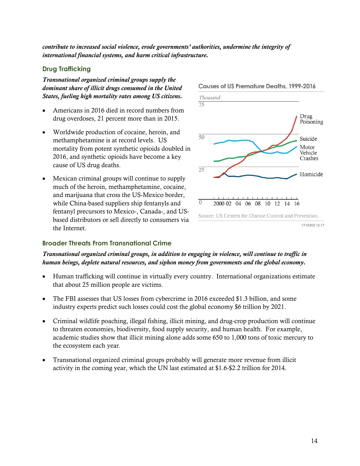*contribute to increased social violence, erode governments' authorities, undermine the integrity of international financial systems, and harm critical infrastructure.*

#### **Drug Trafficking**

*Transnational organized criminal groups supply the dominant share of illicit drugs consumed in the United States, fueling high mortality rates among US citizens.*

- Americans in 2016 died in record numbers from drug overdoses, 21 percent more than in 2015.
- Worldwide production of cocaine, heroin, and methamphetamine is at record levels. US mortality from potent synthetic opioids doubled in 2016, and synthetic opioids have become a key cause of US drug deaths.
- Mexican criminal groups will continue to supply much of the heroin, methamphetamine, cocaine, and marijuana that cross the US-Mexico border, while China-based suppliers ship fentanyls and fentanyl precursors to Mexico-, Canada-, and USbased distributors or sell directly to consumers via the Internet.



#### Causes of US Premature Deaths, 1999-2016

#### **Broader Threats From Transnational Crime**

*Transnational organized criminal groups, in addition to engaging in violence, will continue to traffic in human beings, deplete natural resources, and siphon money from governments and the global economy.*

- Human trafficking will continue in virtually every country. International organizations estimate that about 25 million people are victims.
- The FBI assesses that US losses from cybercrime in 2016 exceeded \$1.3 billion, and some industry experts predict such losses could cost the global economy \$6 trillion by 2021.
- Criminal wildlife poaching, illegal fishing, illicit mining, and drug-crop production will continue to threaten economies, biodiversity, food supply security, and human health. For example, academic studies show that illicit mining alone adds some 650 to 1,000 tons of toxic mercury to the ecosystem each year.
- Transnational organized criminal groups probably will generate more revenue from illicit activity in the coming year, which the UN last estimated at \$1.6-\$2.2 trillion for 2014.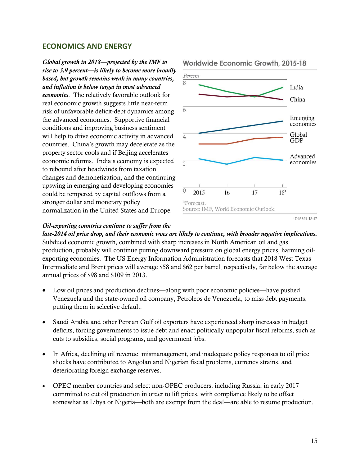#### <span id="page-14-0"></span>**ECONOMICS AND ENERGY**

*Global growth in 2018—projected by the IMF to rise to 3.9 percent—is likely to become more broadly based, but growth remains weak in many countries, and inflation is below target in most advanced economies*. The relatively favorable outlook for real economic growth suggests little near-term risk of unfavorable deficit-debt dynamics among the advanced economies. Supportive financial conditions and improving business sentiment will help to drive economic activity in advanced countries. China's growth may decelerate as the property sector cools and if Beijing accelerates economic reforms. India's economy is expected to rebound after headwinds from taxation changes and demonetization, and the continuing upswing in emerging and developing economies could be tempered by capital outflows from a stronger dollar and monetary policy normalization in the United States and Europe.

#### Percent  $\overline{8}$ India China 6 Emerging economies Global  $\overline{4}$ **GDP** Advanced economies  $\overline{2}$  $\overline{0}$  $18<sup>a</sup>$ 2015 16  $17$ <sup>a</sup>Forecast. Source: IMF, World Economic Outlook.

#### Worldwide Economic Growth, 2015-18

17-15891 12-17

#### *Oil-exporting countries continue to suffer from the*

*late-2014 oil price drop, and their economic woes are likely to continue, with broader negative implications.* Subdued economic growth, combined with sharp increases in North American oil and gas production, probably will continue putting downward pressure on global energy prices, harming oilexporting economies. The US Energy Information Administration forecasts that 2018 West Texas Intermediate and Brent prices will average \$58 and \$62 per barrel, respectively, far below the average annual prices of \$98 and \$109 in 2013.

- Low oil prices and production declines—along with poor economic policies—have pushed Venezuela and the state-owned oil company, Petroleos de Venezuela, to miss debt payments, putting them in selective default.
- Saudi Arabia and other Persian Gulf oil exporters have experienced sharp increases in budget deficits, forcing governments to issue debt and enact politically unpopular fiscal reforms, such as cuts to subsidies, social programs, and government jobs.
- In Africa, declining oil revenue, mismanagement, and inadequate policy responses to oil price shocks have contributed to Angolan and Nigerian fiscal problems, currency strains, and deteriorating foreign exchange reserves.
- OPEC member countries and select non-OPEC producers, including Russia, in early 2017 committed to cut oil production in order to lift prices, with compliance likely to be offset somewhat as Libya or Nigeria—both are exempt from the deal—are able to resume production.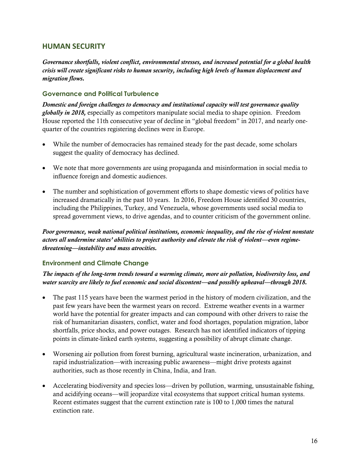# <span id="page-15-0"></span>**HUMAN SECURITY**

*Governance shortfalls, violent conflict, environmental stresses, and increased potential for a global health crisis will create significant risks to human security, including high levels of human displacement and migration flows.*

### **Governance and Political Turbulence**

*Domestic and foreign challenges to democracy and institutional capacity will test governance quality globally in 2018,* especially as competitors manipulate social media to shape opinion. Freedom House reported the 11th consecutive year of decline in "global freedom" in 2017, and nearly onequarter of the countries registering declines were in Europe.

- While the number of democracies has remained steady for the past decade, some scholars suggest the quality of democracy has declined.
- We note that more governments are using propaganda and misinformation in social media to influence foreign and domestic audiences.
- The number and sophistication of government efforts to shape domestic views of politics have increased dramatically in the past 10 years. In 2016, Freedom House identified 30 countries, including the Philippines, Turkey, and Venezuela, whose governments used social media to spread government views, to drive agendas, and to counter criticism of the government online.

*Poor governance, weak national political institutions, economic inequality, and the rise of violent nonstate actors all undermine states' abilities to project authority and elevate the risk of violent—even regimethreatening—instability and mass atrocities.*

### **Environment and Climate Change**

*The impacts of the long-term trends toward a warming climate, more air pollution, biodiversity loss, and water scarcity are likely to fuel economic and social discontent—and possibly upheaval—through 2018.*

- The past 115 years have been the warmest period in the history of modern civilization, and the past few years have been the warmest years on record. Extreme weather events in a warmer world have the potential for greater impacts and can compound with other drivers to raise the risk of humanitarian disasters, conflict, water and food shortages, population migration, labor shortfalls, price shocks, and power outages. Research has not identified indicators of tipping points in climate-linked earth systems, suggesting a possibility of abrupt climate change.
- Worsening air pollution from forest burning, agricultural waste incineration, urbanization, and rapid industrialization—with increasing public awareness—might drive protests against authorities, such as those recently in China, India, and Iran.
- Accelerating biodiversity and species loss—driven by pollution, warming, unsustainable fishing, and acidifying oceans—will jeopardize vital ecosystems that support critical human systems. Recent estimates suggest that the current extinction rate is 100 to 1,000 times the natural extinction rate.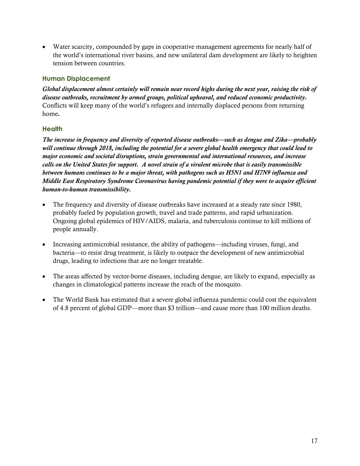Water scarcity, compounded by gaps in cooperative management agreements for nearly half of the world's international river basins, and new unilateral dam development are likely to heighten tension between countries.

#### **Human Displacement**

*Global displacement almost certainly will remain near record highs during the next year, raising the risk of disease outbreaks, recruitment by armed groups, political upheaval, and reduced economic productivity.* Conflicts will keep many of the world's refugees and internally displaced persons from returning home*.*

#### **Health**

*The increase in frequency and diversity of reported disease outbreaks—such as dengue and Zika—probably will continue through 2018, including the potential for a severe global health emergency that could lead to major economic and societal disruptions, strain governmental and international resources, and increase calls on the United States for support. A novel strain of a virulent microbe that is easily transmissible between humans continues to be a major threat, with pathogens such as H5N1 and H7N9 influenza and Middle East Respiratory Syndrome Coronavirus having pandemic potential if they were to acquire efficient human-to-human transmissibility.*

- The frequency and diversity of disease outbreaks have increased at a steady rate since 1980, probably fueled by population growth, travel and trade patterns, and rapid urbanization. Ongoing global epidemics of HIV/AIDS, malaria, and tuberculosis continue to kill millions of people annually.
- Increasing antimicrobial resistance, the ability of pathogens—including viruses, fungi, and bacteria—to resist drug treatment, is likely to outpace the development of new antimicrobial drugs, leading to infections that are no longer treatable.
- The areas affected by vector-borne diseases, including dengue, are likely to expand, especially as changes in climatological patterns increase the reach of the mosquito.
- The World Bank has estimated that a severe global influenza pandemic could cost the equivalent of 4.8 percent of global GDP—more than \$3 trillion—and cause more than 100 million deaths.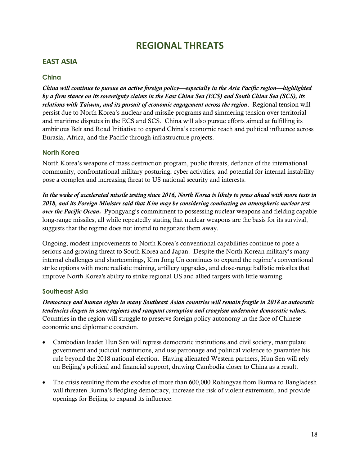# **REGIONAL THREATS**

# <span id="page-17-1"></span><span id="page-17-0"></span>**EAST ASIA**

#### **China**

*China will continue to pursue an active foreign policy—especially in the Asia Pacific region—highlighted by a firm stance on its sovereignty claims in the East China Sea (ECS) and South China Sea (SCS), its relations with Taiwan, and its pursuit of economic engagement across the region*. Regional tension will persist due to North Korea's nuclear and missile programs and simmering tension over territorial and maritime disputes in the ECS and SCS. China will also pursue efforts aimed at fulfilling its ambitious Belt and Road Initiative to expand China's economic reach and political influence across Eurasia, Africa, and the Pacific through infrastructure projects.

#### **North Korea**

North Korea's weapons of mass destruction program, public threats, defiance of the international community, confrontational military posturing, cyber activities, and potential for internal instability pose a complex and increasing threat to US national security and interests.

*In the wake of accelerated missile testing since 2016, North Korea is likely to press ahead with more tests in 2018, and its Foreign Minister said that Kim may be considering conducting an atmospheric nuclear test over the Pacific Ocean.* Pyongyang's commitment to possessing nuclear weapons and fielding capable long-range missiles, all while repeatedly stating that nuclear weapons are the basis for its survival, suggests that the regime does not intend to negotiate them away.

Ongoing, modest improvements to North Korea's conventional capabilities continue to pose a serious and growing threat to South Korea and Japan. Despite the North Korean military's many internal challenges and shortcomings, Kim Jong Un continues to expand the regime's conventional strike options with more realistic training, artillery upgrades, and close-range ballistic missiles that improve North Korea's ability to strike regional US and allied targets with little warning.

#### **Southeast Asia**

*Democracy and human rights in many Southeast Asian countries will remain fragile in 2018 as autocratic tendencies deepen in some regimes and rampant corruption and cronyism undermine democratic values.*  Countries in the region will struggle to preserve foreign policy autonomy in the face of Chinese economic and diplomatic coercion.

- Cambodian leader Hun Sen will repress democratic institutions and civil society, manipulate government and judicial institutions, and use patronage and political violence to guarantee his rule beyond the 2018 national election. Having alienated Western partners, Hun Sen will rely on Beijing's political and financial support, drawing Cambodia closer to China as a result.
- The crisis resulting from the exodus of more than 600,000 Rohingyas from Burma to Bangladesh will threaten Burma's fledgling democracy, increase the risk of violent extremism, and provide openings for Beijing to expand its influence.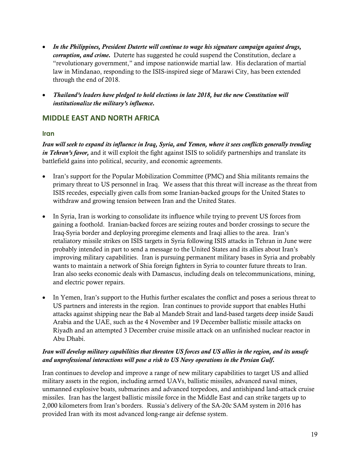- *In the Philippines, President Duterte will continue to wage his signature campaign against drugs, corruption, and crime.* Duterte has suggested he could suspend the Constitution, declare a "revolutionary government," and impose nationwide martial law. His declaration of martial law in Mindanao, responding to the ISIS-inspired siege of Marawi City, has been extended through the end of 2018.
- *Thailand's leaders have pledged to hold elections in late 2018, but the new Constitution will institutionalize the military's influence.*

# <span id="page-18-0"></span>**MIDDLE EAST AND NORTH AFRICA**

#### **Iran**

*Iran will seek to expand its influence in Iraq, Syria, and Yemen, where it sees conflicts generally trending in Tehran's favor,* and it will exploit the fight against ISIS to solidify partnerships and translate its battlefield gains into political, security, and economic agreements.

- Iran's support for the Popular Mobilization Committee (PMC) and Shia militants remains the primary threat to US personnel in Iraq. We assess that this threat will increase as the threat from ISIS recedes, especially given calls from some Iranian-backed groups for the United States to withdraw and growing tension between Iran and the United States.
- In Syria, Iran is working to consolidate its influence while trying to prevent US forces from gaining a foothold. Iranian-backed forces are seizing routes and border crossings to secure the Iraq-Syria border and deploying proregime elements and Iraqi allies to the area. Iran's retaliatory missile strikes on ISIS targets in Syria following ISIS attacks in Tehran in June were probably intended in part to send a message to the United States and its allies about Iran's improving military capabilities. Iran is pursuing permanent military bases in Syria and probably wants to maintain a network of Shia foreign fighters in Syria to counter future threats to Iran. Iran also seeks economic deals with Damascus, including deals on telecommunications, mining, and electric power repairs.
- In Yemen, Iran's support to the Huthis further escalates the conflict and poses a serious threat to US partners and interests in the region. Iran continues to provide support that enables Huthi attacks against shipping near the Bab al Mandeb Strait and land-based targets deep inside Saudi Arabia and the UAE, such as the 4 November and 19 December ballistic missile attacks on Riyadh and an attempted 3 December cruise missile attack on an unfinished nuclear reactor in Abu Dhabi.

#### *Iran will develop military capabilities that threaten US forces and US allies in the region, and its unsafe and unprofessional interactions will pose a risk to US Navy operations in the Persian Gulf.*

Iran continues to develop and improve a range of new military capabilities to target US and allied military assets in the region, including armed UAVs, ballistic missiles, advanced naval mines, unmanned explosive boats, submarines and advanced torpedoes, and antishipand land-attack cruise missiles. Iran has the largest ballistic missile force in the Middle East and can strike targets up to 2,000 kilometers from Iran's borders. Russia's delivery of the SA-20c SAM system in 2016 has provided Iran with its most advanced long-range air defense system.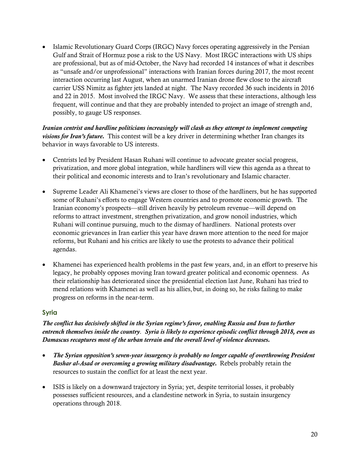• Islamic Revolutionary Guard Corps (IRGC) Navy forces operating aggressively in the Persian Gulf and Strait of Hormuz pose a risk to the US Navy. Most IRGC interactions with US ships are professional, but as of mid-October, the Navy had recorded 14 instances of what it describes as "unsafe and/or unprofessional" interactions with Iranian forces during 2017, the most recent interaction occurring last August, when an unarmed Iranian drone flew close to the aircraft carrier USS Nimitz as fighter jets landed at night. The Navy recorded 36 such incidents in 2016 and 22 in 2015. Most involved the IRGC Navy. We assess that these interactions, although less frequent, will continue and that they are probably intended to project an image of strength and, possibly, to gauge US responses.

*Iranian centrist and hardline politicians increasingly will clash as they attempt to implement competing visions for Iran's future.* This contest will be a key driver in determining whether Iran changes its behavior in ways favorable to US interests.

- Centrists led by President Hasan Ruhani will continue to advocate greater social progress, privatization, and more global integration, while hardliners will view this agenda as a threat to their political and economic interests and to Iran's revolutionary and Islamic character.
- Supreme Leader Ali Khamenei's views are closer to those of the hardliners, but he has supported some of Ruhani's efforts to engage Western countries and to promote economic growth. The Iranian economy's prospects—still driven heavily by petroleum revenue—will depend on reforms to attract investment, strengthen privatization, and grow nonoil industries, which Ruhani will continue pursuing, much to the dismay of hardliners. National protests over economic grievances in Iran earlier this year have drawn more attention to the need for major reforms, but Ruhani and his critics are likely to use the protests to advance their political agendas.
- Khamenei has experienced health problems in the past few years, and, in an effort to preserve his legacy, he probably opposes moving Iran toward greater political and economic openness. As their relationship has deteriorated since the presidential election last June, Ruhani has tried to mend relations with Khamenei as well as his allies, but, in doing so, he risks failing to make progress on reforms in the near-term.

### **Syria**

*The conflict has decisively shifted in the Syrian regime's favor, enabling Russia and Iran to further entrench themselves inside the country. Syria is likely to experience episodic conflict through 2018, even as Damascus recaptures most of the urban terrain and the overall level of violence decreases.*

- *The Syrian opposition's seven-year insurgency is probably no longer capable of overthrowing President Bashar al-Asad or overcoming a growing military disadvantage.* Rebels probably retain the resources to sustain the conflict for at least the next year.
- ISIS is likely on a downward trajectory in Syria; yet, despite territorial losses, it probably possesses sufficient resources, and a clandestine network in Syria, to sustain insurgency operations through 2018.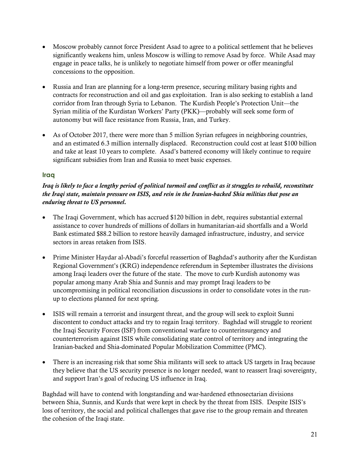- Moscow probably cannot force President Asad to agree to a political settlement that he believes significantly weakens him, unless Moscow is willing to remove Asad by force. While Asad may engage in peace talks, he is unlikely to negotiate himself from power or offer meaningful concessions to the opposition.
- Russia and Iran are planning for a long-term presence, securing military basing rights and contracts for reconstruction and oil and gas exploitation. Iran is also seeking to establish a land corridor from Iran through Syria to Lebanon. The Kurdish People's Protection Unit—the Syrian militia of the Kurdistan Workers' Party (PKK)—probably will seek some form of autonomy but will face resistance from Russia, Iran, and Turkey.
- As of October 2017, there were more than 5 million Syrian refugees in neighboring countries, and an estimated 6.3 million internally displaced. Reconstruction could cost at least \$100 billion and take at least 10 years to complete. Asad's battered economy will likely continue to require significant subsidies from Iran and Russia to meet basic expenses.

#### **Iraq**

### *Iraq is likely to face a lengthy period of political turmoil and conflict as it struggles to rebuild, reconstitute the Iraqi state, maintain pressure on ISIS, and rein in the Iranian-backed Shia militias that pose an enduring threat to US personnel.*

- The Iraqi Government, which has accrued \$120 billion in debt, requires substantial external assistance to cover hundreds of millions of dollars in humanitarian-aid shortfalls and a World Bank estimated \$88.2 billion to restore heavily damaged infrastructure, industry, and service sectors in areas retaken from ISIS.
- Prime Minister Haydar al-Abadi's forceful reassertion of Baghdad's authority after the Kurdistan Regional Government's (KRG) independence referendum in September illustrates the divisions among Iraqi leaders over the future of the state. The move to curb Kurdish autonomy was popular among many Arab Shia and Sunnis and may prompt Iraqi leaders to be uncompromising in political reconciliation discussions in order to consolidate votes in the runup to elections planned for next spring.
- ISIS will remain a terrorist and insurgent threat, and the group will seek to exploit Sunni discontent to conduct attacks and try to regain Iraqi territory. Baghdad will struggle to reorient the Iraqi Security Forces (ISF) from conventional warfare to counterinsurgency and counterterrorism against ISIS while consolidating state control of territory and integrating the Iranian-backed and Shia-dominated Popular Mobilization Committee (PMC).
- There is an increasing risk that some Shia militants will seek to attack US targets in Iraq because they believe that the US security presence is no longer needed, want to reassert Iraqi sovereignty, and support Iran's goal of reducing US influence in Iraq.

Baghdad will have to contend with longstanding and war-hardened ethnosectarian divisions between Shia, Sunnis, and Kurds that were kept in check by the threat from ISIS. Despite ISIS's loss of territory, the social and political challenges that gave rise to the group remain and threaten the cohesion of the Iraqi state.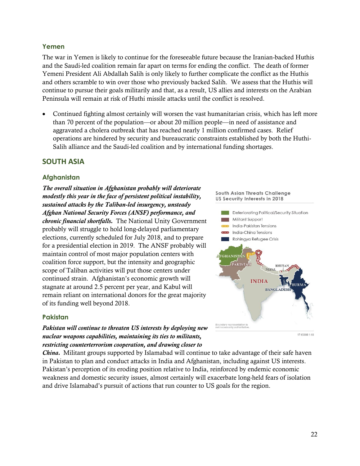#### **Yemen**

The war in Yemen is likely to continue for the foreseeable future because the Iranian-backed Huthis and the Saudi-led coalition remain far apart on terms for ending the conflict. The death of former Yemeni President Ali Abdallah Salih is only likely to further complicate the conflict as the Huthis and others scramble to win over those who previously backed Salih. We assess that the Huthis will continue to pursue their goals militarily and that, as a result, US allies and interests on the Arabian Peninsula will remain at risk of Huthi missile attacks until the conflict is resolved.

 Continued fighting almost certainly will worsen the vast humanitarian crisis, which has left more than 70 percent of the population—or about 20 million people—in need of assistance and aggravated a cholera outbreak that has reached nearly 1 million confirmed cases. Relief operations are hindered by security and bureaucratic constraints established by both the Huthi-Salih alliance and the Saudi-led coalition and by international funding shortages.

### <span id="page-21-0"></span>**SOUTH ASIA**

#### **Afghanistan**

*The overall situation in Afghanistan probably will deteriorate modestly this year in the face of persistent political instability, sustained attacks by the Taliban-led insurgency, unsteady Afghan National Security Forces (ANSF) performance, and chronic financial shortfalls.* The National Unity Government probably will struggle to hold long-delayed parliamentary elections, currently scheduled for July 2018, and to prepare for a presidential election in 2019. The ANSF probably will maintain control of most major population centers with coalition force support, but the intensity and geographic scope of Taliban activities will put those centers under continued strain. Afghanistan's economic growth will stagnate at around 2.5 percent per year, and Kabul will remain reliant on international donors for the great majority of its funding well beyond 2018.

#### **Pakistan**

*Pakistan will continue to threaten US interests by deploying new nuclear weapons capabilities, maintaining its ties to militants, restricting counterterrorism cooperation, and drawing closer to* 

*China.* Militant groups supported by Islamabad will continue to take advantage of their safe haven in Pakistan to plan and conduct attacks in India and Afghanistan, including against US interests. Pakistan's perception of its eroding position relative to India, reinforced by endemic economic weakness and domestic security issues, almost certainly will exacerbate long-held fears of isolation and drive Islamabad's pursuit of actions that run counter to US goals for the region.



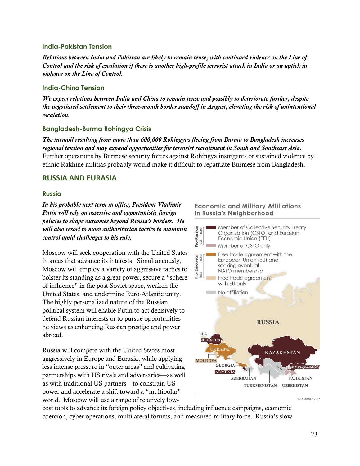#### **India-Pakistan Tension**

*Relations between India and Pakistan are likely to remain tense, with continued violence on the Line of Control and the risk of escalation if there is another high-profile terrorist attack in India or an uptick in violence on the Line of Control.*

#### **India-China Tension**

*We expect relations between India and China to remain tense and possibly to deteriorate further, despite the negotiated settlement to their three-month border standoff in August, elevating the risk of unintentional escalation.*

#### **Bangladesh-Burma Rohingya Crisis**

*The turmoil resulting from more than 600,000 Rohingyas fleeing from Burma to Bangladesh increases regional tension and may expand opportunities for terrorist recruitment in South and Southeast Asia.* Further operations by Burmese security forces against Rohingya insurgents or sustained violence by ethnic Rakhine militias probably would make it difficult to repatriate Burmese from Bangladesh.

### <span id="page-22-0"></span>**RUSSIA AND EURASIA**

#### **Russia**

*In his probable next term in office, President Vladimir Putin will rely on assertive and opportunistic foreign policies to shape outcomes beyond Russia's borders. He will also resort to more authoritarian tactics to maintain control amid challenges to his rule.*

Moscow will seek cooperation with the United States in areas that advance its interests. Simultaneously, Moscow will employ a variety of aggressive tactics to bolster its standing as a great power, secure a "sphere of influence" in the post-Soviet space, weaken the United States, and undermine Euro-Atlantic unity. The highly personalized nature of the Russian political system will enable Putin to act decisively to defend Russian interests or to pursue opportunities he views as enhancing Russian prestige and power abroad.

Russia will compete with the United States most aggressively in Europe and Eurasia, while applying less intense pressure in "outer areas" and cultivating partnerships with US rivals and adversaries—as well as with traditional US partners—to constrain US power and accelerate a shift toward a "multipolar" world. Moscow will use a range of relatively low-

#### **Economic and Military Affiliations** in Russia's Neighborhood



17-15889 12-17

cost tools to advance its foreign policy objectives, including influence campaigns, economic coercion, cyber operations, multilateral forums, and measured military force. Russia's slow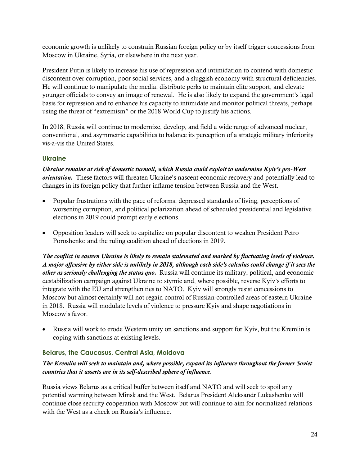economic growth is unlikely to constrain Russian foreign policy or by itself trigger concessions from Moscow in Ukraine, Syria, or elsewhere in the next year.

President Putin is likely to increase his use of repression and intimidation to contend with domestic discontent over corruption, poor social services, and a sluggish economy with structural deficiencies. He will continue to manipulate the media, distribute perks to maintain elite support, and elevate younger officials to convey an image of renewal. He is also likely to expand the government's legal basis for repression and to enhance his capacity to intimidate and monitor political threats, perhaps using the threat of "extremism" or the 2018 World Cup to justify his actions.

In 2018, Russia will continue to modernize, develop, and field a wide range of advanced nuclear, conventional, and asymmetric capabilities to balance its perception of a strategic military inferiority vis-a-vis the United States.

# **Ukraine**

*Ukraine remains at risk of domestic turmoil, which Russia could exploit to undermine Kyiv's pro-West orientation.* These factors will threaten Ukraine's nascent economic recovery and potentially lead to changes in its foreign policy that further inflame tension between Russia and the West.

- Popular frustrations with the pace of reforms, depressed standards of living, perceptions of worsening corruption, and political polarization ahead of scheduled presidential and legislative elections in 2019 could prompt early elections.
- Opposition leaders will seek to capitalize on popular discontent to weaken President Petro Poroshenko and the ruling coalition ahead of elections in 2019.

*The conflict in eastern Ukraine is likely to remain stalemated and marked by fluctuating levels of violence. A major offensive by either side is unlikely in 2018, although each side's calculus could change if it sees the other as seriously challenging the status quo.* Russia will continue its military, political, and economic destabilization campaign against Ukraine to stymie and, where possible, reverse Kyiv's efforts to integrate with the EU and strengthen ties to NATO. Kyiv will strongly resist concessions to Moscow but almost certainly will not regain control of Russian-controlled areas of eastern Ukraine in 2018. Russia will modulate levels of violence to pressure Kyiv and shape negotiations in Moscow's favor.

 Russia will work to erode Western unity on sanctions and support for Kyiv, but the Kremlin is coping with sanctions at existing levels.

# **Belarus, the Caucasus, Central Asia, Moldova**

### *The Kremlin will seek to maintain and, where possible, expand its influence throughout the former Soviet countries that it asserts are in its self-described sphere of influence*.

Russia views Belarus as a critical buffer between itself and NATO and will seek to spoil any potential warming between Minsk and the West. Belarus President Aleksandr Lukashenko will continue close security cooperation with Moscow but will continue to aim for normalized relations with the West as a check on Russia's influence.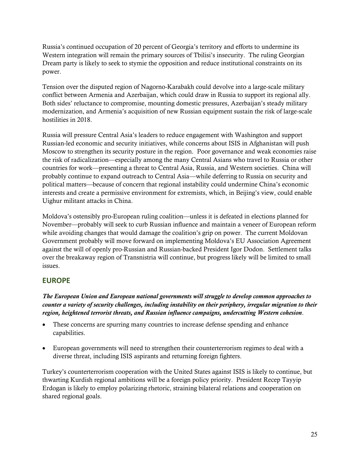Russia's continued occupation of 20 percent of Georgia's territory and efforts to undermine its Western integration will remain the primary sources of Tbilisi's insecurity.The ruling Georgian Dream party is likely to seek to stymie the opposition and reduce institutional constraints on its power.

Tension over the disputed region of Nagorno-Karabakh could devolve into a large-scale military conflict between Armenia and Azerbaijan, which could draw in Russia to support its regional ally. Both sides' reluctance to compromise, mounting domestic pressures, Azerbaijan's steady military modernization, and Armenia's acquisition of new Russian equipment sustain the risk of large-scale hostilities in 2018.

Russia will pressure Central Asia's leaders to reduce engagement with Washington and support Russian-led economic and security initiatives, while concerns about ISIS in Afghanistan will push Moscow to strengthen its security posture in the region. Poor governance and weak economies raise the risk of radicalization—especially among the many Central Asians who travel to Russia or other countries for work—presenting a threat to Central Asia, Russia, and Western societies. China will probably continue to expand outreach to Central Asia—while deferring to Russia on security and political matters—because of concern that regional instability could undermine China's economic interests and create a permissive environment for extremists, which, in Beijing's view, could enable Uighur militant attacks in China.

Moldova's ostensibly pro-European ruling coalition—unless it is defeated in elections planned for November—probably will seek to curb Russian influence and maintain a veneer of European reform while avoiding changes that would damage the coalition's grip on power. The current Moldovan Government probably will move forward on implementing Moldova's EU Association Agreement against the will of openly pro-Russian and Russian-backed President Igor Dodon. Settlement talks over the breakaway region of Transnistria will continue, but progress likely will be limited to small issues.

# <span id="page-24-0"></span>**EUROPE**

*The European Union and European national governments will struggle to develop common approaches to counter a variety of security challenges, including instability on their periphery, irregular migration to their region, heightened terrorist threats, and Russian influence campaigns, undercutting Western cohesion*.

- These concerns are spurring many countries to increase defense spending and enhance capabilities.
- European governments will need to strengthen their counterterrorism regimes to deal with a diverse threat, including ISIS aspirants and returning foreign fighters.

Turkey's counterterrorism cooperation with the United States against ISIS is likely to continue, but thwarting Kurdish regional ambitions will be a foreign policy priority. President Recep Tayyip Erdogan is likely to employ polarizing rhetoric, straining bilateral relations and cooperation on shared regional goals.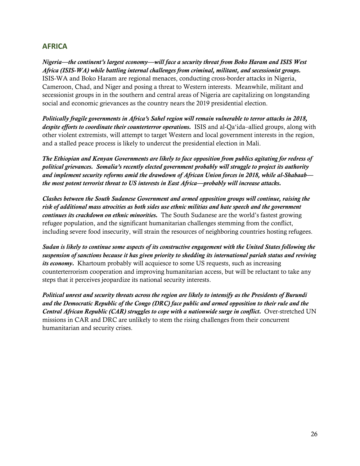# <span id="page-25-0"></span>**AFRICA**

*Nigeria—the continent's largest economy—will face a security threat from Boko Haram and ISIS West Africa (ISIS-WA) while battling internal challenges from criminal, militant, and secessionist groups.*  ISIS-WA and Boko Haram are regional menaces, conducting cross-border attacks in Nigeria, Cameroon, Chad, and Niger and posing a threat to Western interests. Meanwhile, militant and secessionist groups in in the southern and central areas of Nigeria are capitalizing on longstanding social and economic grievances as the country nears the 2019 presidential election.

*Politically fragile governments in Africa's Sahel region will remain vulnerable to terror attacks in 2018, despite efforts to coordinate their counterterror operations.* ISIS and al-Qa'ida–allied groups, along with other violent extremists, will attempt to target Western and local government interests in the region, and a stalled peace process is likely to undercut the presidential election in Mali.

*The Ethiopian and Kenyan Governments are likely to face opposition from publics agitating for redress of political grievances. Somalia's recently elected government probably will struggle to project its authority and implement security reforms amid the drawdown of African Union forces in 2018, while al-Shabaab the most potent terrorist threat to US interests in East Africa—probably will increase attacks.*

*Clashes between the South Sudanese Government and armed opposition groups will continue, raising the risk of additional mass atrocities as both sides use ethnic militias and hate speech and the government continues its crackdown on ethnic minorities.* The South Sudanese are the world's fastest growing refugee population, and the significant humanitarian challenges stemming from the conflict, including severe food insecurity, will strain the resources of neighboring countries hosting refugees.

*Sudan is likely to continue some aspects of its constructive engagement with the United States following the suspension of sanctions because it has given priority to shedding its international pariah status and reviving its economy.* Khartoum probably will acquiesce to some US requests, such as increasing counterterrorism cooperation and improving humanitarian access, but will be reluctant to take any steps that it perceives jeopardize its national security interests.

*Political unrest and security threats across the region are likely to intensify as the Presidents of Burundi and the Democratic Republic of the Congo (DRC) face public and armed opposition to their rule and the Central African Republic (CAR) struggles to cope with a nationwide surge in conflict.* Over-stretched UN missions in CAR and DRC are unlikely to stem the rising challenges from their concurrent humanitarian and security crises.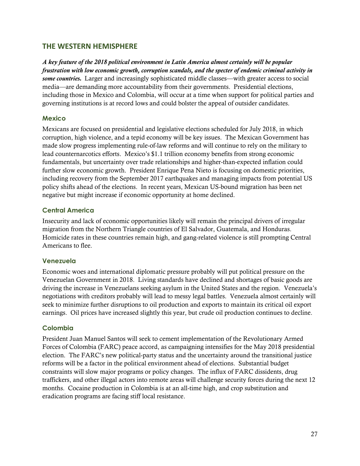### <span id="page-26-0"></span>**THE WESTERN HEMISPHERE**

*A key feature of the 2018 political environment in Latin America almost certainly will be popular frustration with low economic growth, corruption scandals, and the specter of endemic criminal activity in some countries.* Larger and increasingly sophisticated middle classes—with greater access to social media—are demanding more accountability from their governments. Presidential elections, including those in Mexico and Colombia, will occur at a time when support for political parties and governing institutions is at record lows and could bolster the appeal of outsider candidates.

#### **Mexico**

Mexicans are focused on presidential and legislative elections scheduled for July 2018, in which corruption, high violence, and a tepid economy will be key issues. The Mexican Government has made slow progress implementing rule-of-law reforms and will continue to rely on the military to lead counternarcotics efforts. Mexico's \$1.1 trillion economy benefits from strong economic fundamentals, but uncertainty over trade relationships and higher-than-expected inflation could further slow economic growth. President Enrique Pena Nieto is focusing on domestic priorities, including recovery from the September 2017 earthquakes and managing impacts from potential US policy shifts ahead of the elections. In recent years, Mexican US-bound migration has been net negative but might increase if economic opportunity at home declined.

#### **Central America**

Insecurity and lack of economic opportunities likely will remain the principal drivers of irregular migration from the Northern Triangle countries of El Salvador, Guatemala, and Honduras. Homicide rates in these countries remain high, and gang-related violence is still prompting Central Americans to flee.

#### **Venezuela**

Economic woes and international diplomatic pressure probably will put political pressure on the Venezuelan Government in 2018. Living standards have declined and shortages of basic goods are driving the increase in Venezuelans seeking asylum in the United States and the region. Venezuela's negotiations with creditors probably will lead to messy legal battles. Venezuela almost certainly will seek to minimize further disruptions to oil production and exports to maintain its critical oil export earnings. Oil prices have increased slightly this year, but crude oil production continues to decline.

#### **Colombia**

President Juan Manuel Santos will seek to cement implementation of the Revolutionary Armed Forces of Colombia (FARC) peace accord, as campaigning intensifies for the May 2018 presidential election. The FARC's new political-party status and the uncertainty around the transitional justice reforms will be a factor in the political environment ahead of elections. Substantial budget constraints will slow major programs or policy changes. The influx of FARC dissidents, drug traffickers, and other illegal actors into remote areas will challenge security forces during the next 12 months. Cocaine production in Colombia is at an all-time high, and crop substitution and eradication programs are facing stiff local resistance.